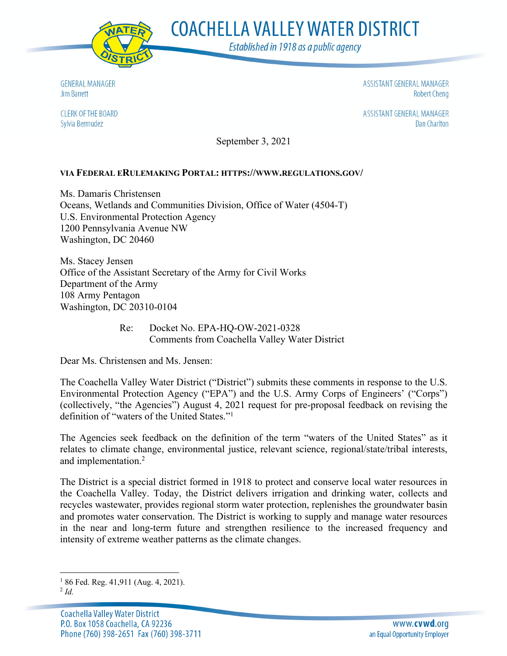

**COACHELLA VALLEY WATER DISTRICT** 

Established in 1918 as a public agency

**GENERAL MANAGER** Jim Barrett

**CLERK OF THE BOARD** Sylvia Bermudez

ASSISTANT GENERAL MANAGER **Robert Cheng** 

ASSISTANT GENERAL MANAGER **Dan Charlton** 

September 3, 2021

### **VIA FEDERAL ERULEMAKING PORTAL: HTTPS://WWW.REGULATIONS.GOV/**

Ms. Damaris Christensen Oceans, Wetlands and Communities Division, Office of Water (4504-T) U.S. Environmental Protection Agency 1200 Pennsylvania Avenue NW Washington, DC 20460

Ms. Stacey Jensen Office of the Assistant Secretary of the Army for Civil Works Department of the Army 108 Army Pentagon Washington, DC 20310-0104

> Re: Docket No. EPA-HQ-OW-2021-0328 Comments from Coachella Valley Water District

Dear Ms. Christensen and Ms. Jensen:

The Coachella Valley Water District ("District") submits these comments in response to the U.S. Environmental Protection Agency ("EPA") and the U.S. Army Corps of Engineers' ("Corps") (collectively, "the Agencies") August 4, 2021 request for pre-proposal feedback on revising the definition of "waters of the United States."1

The Agencies seek feedback on the definition of the term "waters of the United States" as it relates to climate change, environmental justice, relevant science, regional/state/tribal interests, and implementation.2

The District is a special district formed in 1918 to protect and conserve local water resources in the Coachella Valley. Today, the District delivers irrigation and drinking water, collects and recycles wastewater, provides regional storm water protection, replenishes the groundwater basin and promotes water conservation. The District is working to supply and manage water resources in the near and long-term future and strengthen resilience to the increased frequency and intensity of extreme weather patterns as the climate changes.

<sup>&</sup>lt;sup>1</sup> 86 Fed. Reg. 41,911 (Aug. 4, 2021).

<sup>2</sup> *Id.*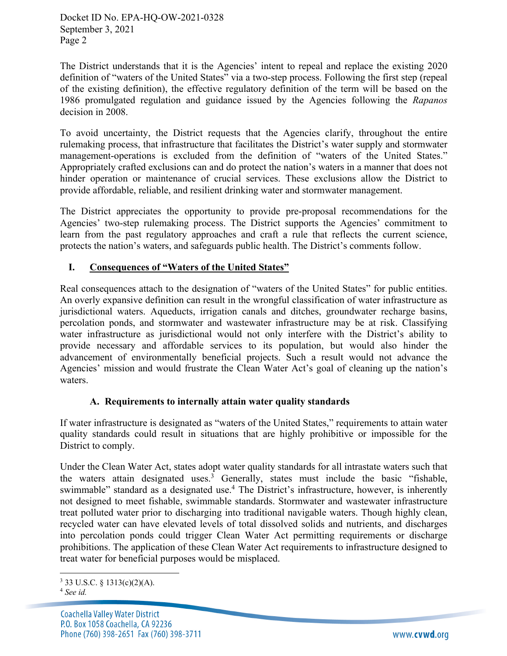Docket ID No. EPA-HQ-OW-2021-0328 September 3, 2021 Page 2

The District understands that it is the Agencies' intent to repeal and replace the existing 2020 definition of "waters of the United States" via a two-step process. Following the first step (repeal of the existing definition), the effective regulatory definition of the term will be based on the 1986 promulgated regulation and guidance issued by the Agencies following the *Rapanos* decision in 2008.

To avoid uncertainty, the District requests that the Agencies clarify, throughout the entire rulemaking process, that infrastructure that facilitates the District's water supply and stormwater management-operations is excluded from the definition of "waters of the United States." Appropriately crafted exclusions can and do protect the nation's waters in a manner that does not hinder operation or maintenance of crucial services. These exclusions allow the District to provide affordable, reliable, and resilient drinking water and stormwater management.

The District appreciates the opportunity to provide pre-proposal recommendations for the Agencies' two-step rulemaking process. The District supports the Agencies' commitment to learn from the past regulatory approaches and craft a rule that reflects the current science, protects the nation's waters, and safeguards public health. The District's comments follow.

# **I. Consequences of "Waters of the United States"**

Real consequences attach to the designation of "waters of the United States" for public entities. An overly expansive definition can result in the wrongful classification of water infrastructure as jurisdictional waters. Aqueducts, irrigation canals and ditches, groundwater recharge basins, percolation ponds, and stormwater and wastewater infrastructure may be at risk. Classifying water infrastructure as jurisdictional would not only interfere with the District's ability to provide necessary and affordable services to its population, but would also hinder the advancement of environmentally beneficial projects. Such a result would not advance the Agencies' mission and would frustrate the Clean Water Act's goal of cleaning up the nation's waters.

#### **A. Requirements to internally attain water quality standards**

If water infrastructure is designated as "waters of the United States," requirements to attain water quality standards could result in situations that are highly prohibitive or impossible for the District to comply.

Under the Clean Water Act, states adopt water quality standards for all intrastate waters such that the waters attain designated uses.<sup>3</sup> Generally, states must include the basic "fishable, swimmable" standard as a designated use.4 The District's infrastructure, however, is inherently not designed to meet fishable, swimmable standards. Stormwater and wastewater infrastructure treat polluted water prior to discharging into traditional navigable waters. Though highly clean, recycled water can have elevated levels of total dissolved solids and nutrients, and discharges into percolation ponds could trigger Clean Water Act permitting requirements or discharge prohibitions. The application of these Clean Water Act requirements to infrastructure designed to treat water for beneficial purposes would be misplaced.

 $3$  33 U.S.C. § 1313(c)(2)(A).

<sup>4</sup> *See id.*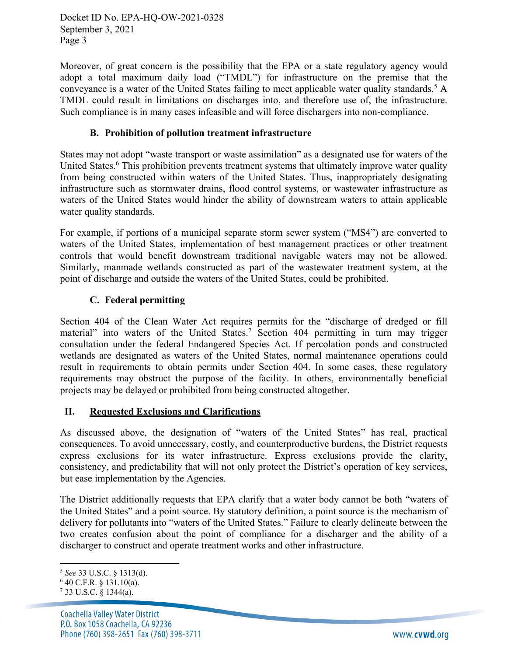Docket ID No. EPA-HQ-OW-2021-0328 September 3, 2021 Page 3

Moreover, of great concern is the possibility that the EPA or a state regulatory agency would adopt a total maximum daily load ("TMDL") for infrastructure on the premise that the conveyance is a water of the United States failing to meet applicable water quality standards.<sup>5</sup> A TMDL could result in limitations on discharges into, and therefore use of, the infrastructure. Such compliance is in many cases infeasible and will force dischargers into non-compliance.

# **B. Prohibition of pollution treatment infrastructure**

States may not adopt "waste transport or waste assimilation" as a designated use for waters of the United States.<sup>6</sup> This prohibition prevents treatment systems that ultimately improve water quality from being constructed within waters of the United States. Thus, inappropriately designating infrastructure such as stormwater drains, flood control systems, or wastewater infrastructure as waters of the United States would hinder the ability of downstream waters to attain applicable water quality standards.

For example, if portions of a municipal separate storm sewer system ("MS4") are converted to waters of the United States, implementation of best management practices or other treatment controls that would benefit downstream traditional navigable waters may not be allowed. Similarly, manmade wetlands constructed as part of the wastewater treatment system, at the point of discharge and outside the waters of the United States, could be prohibited.

# **C. Federal permitting**

Section 404 of the Clean Water Act requires permits for the "discharge of dredged or fill material" into waters of the United States.<sup>7</sup> Section 404 permitting in turn may trigger consultation under the federal Endangered Species Act. If percolation ponds and constructed wetlands are designated as waters of the United States, normal maintenance operations could result in requirements to obtain permits under Section 404. In some cases, these regulatory requirements may obstruct the purpose of the facility. In others, environmentally beneficial projects may be delayed or prohibited from being constructed altogether.

#### **II. Requested Exclusions and Clarifications**

As discussed above, the designation of "waters of the United States" has real, practical consequences. To avoid unnecessary, costly, and counterproductive burdens, the District requests express exclusions for its water infrastructure. Express exclusions provide the clarity, consistency, and predictability that will not only protect the District's operation of key services, but ease implementation by the Agencies.

The District additionally requests that EPA clarify that a water body cannot be both "waters of the United States" and a point source. By statutory definition, a point source is the mechanism of delivery for pollutants into "waters of the United States." Failure to clearly delineate between the two creates confusion about the point of compliance for a discharger and the ability of a discharger to construct and operate treatment works and other infrastructure.

<sup>5</sup> *See* 33 U.S.C. § 1313(d). 6 40 C.F.R. § 131.10(a). 7 33 U.S.C. § 1344(a).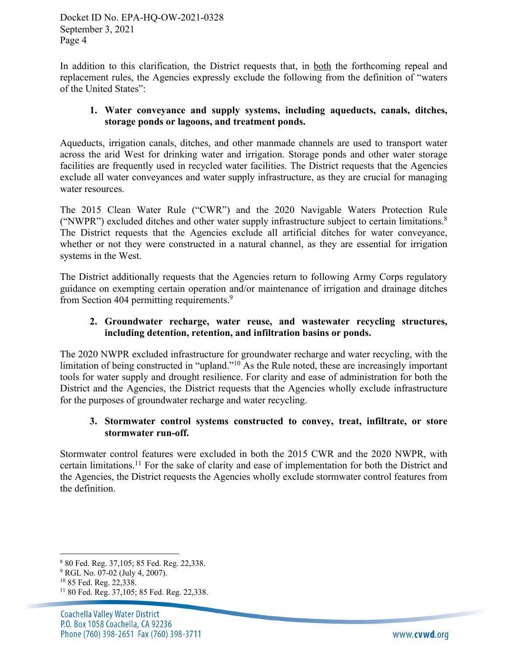Docket ID No. EPA-HQ-OW-2021-0328 September 3, 2021 Page 4

In addition to this clarification, the District requests that, in both the forthcoming repeal and replacement rules, the Agencies expressly exclude the following from the definition of "waters of the United States":

## **1. Water conveyance and supply systems, including aqueducts, canals, ditches, storage ponds or lagoons, and treatment ponds.**

Aqueducts, irrigation canals, ditches, and other manmade channels are used to transport water across the arid West for drinking water and irrigation. Storage ponds and other water storage facilities are frequently used in recycled water facilities. The District requests that the Agencies exclude all water conveyances and water supply infrastructure, as they are crucial for managing water resources.

The 2015 Clean Water Rule ("CWR") and the 2020 Navigable Waters Protection Rule ("NWPR") excluded ditches and other water supply infrastructure subject to certain limitations.8 The District requests that the Agencies exclude all artificial ditches for water conveyance, whether or not they were constructed in a natural channel, as they are essential for irrigation systems in the West.

The District additionally requests that the Agencies return to following Army Corps regulatory guidance on exempting certain operation and/or maintenance of irrigation and drainage ditches from Section 404 permitting requirements.<sup>9</sup>

# **2. Groundwater recharge, water reuse, and wastewater recycling structures, including detention, retention, and infiltration basins or ponds.**

The 2020 NWPR excluded infrastructure for groundwater recharge and water recycling, with the limitation of being constructed in "upland."<sup>10</sup> As the Rule noted, these are increasingly important tools for water supply and drought resilience. For clarity and ease of administration for both the District and the Agencies, the District requests that the Agencies wholly exclude infrastructure for the purposes of groundwater recharge and water recycling.

# **3. Stormwater control systems constructed to convey, treat, infiltrate, or store stormwater run-off.**

Stormwater control features were excluded in both the 2015 CWR and the 2020 NWPR, with certain limitations.11 For the sake of clarity and ease of implementation for both the District and the Agencies, the District requests the Agencies wholly exclude stormwater control features from the definition.

<sup>8</sup> 80 Fed. Reg. 37,105; 85 Fed. Reg. 22,338.

<sup>&</sup>lt;sup>9</sup> RGL No. 07-02 (July 4, 2007).<br><sup>10</sup> 85 Fed. Reg. 22,338.

<sup>11</sup> 80 Fed. Reg. 37,105; 85 Fed. Reg. 22,338.